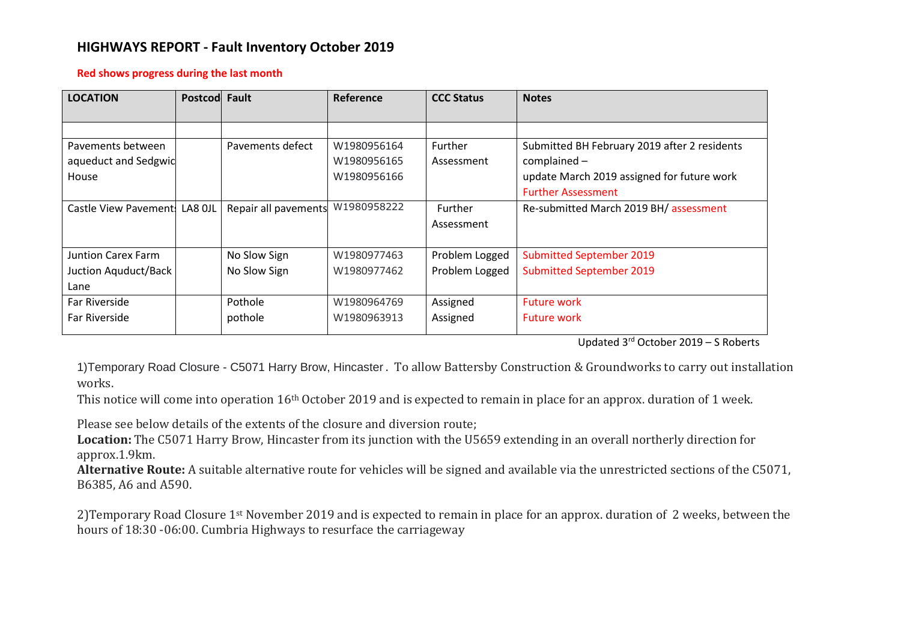# **HIGHWAYS REPORT - Fault Inventory October 2019**

#### **Red shows progress during the last month**

| <b>LOCATION</b>           | Postcod Fault |                      | Reference   | <b>CCC Status</b> | <b>Notes</b>                                 |
|---------------------------|---------------|----------------------|-------------|-------------------|----------------------------------------------|
|                           |               |                      |             |                   |                                              |
|                           |               |                      |             |                   |                                              |
| Pavements between         |               | Pavements defect     | W1980956164 | Further           | Submitted BH February 2019 after 2 residents |
| aqueduct and Sedgwid      |               |                      | W1980956165 | Assessment        | $complained -$                               |
| House                     |               |                      | W1980956166 |                   | update March 2019 assigned for future work   |
|                           |               |                      |             |                   | <b>Further Assessment</b>                    |
| Castle View Pavement:     | LA8 OJL       | Repair all pavements | W1980958222 | Further           | Re-submitted March 2019 BH/ assessment       |
|                           |               |                      |             | Assessment        |                                              |
|                           |               |                      |             |                   |                                              |
| <b>Juntion Carex Farm</b> |               | No Slow Sign         | W1980977463 | Problem Logged    | <b>Submitted September 2019</b>              |
| Juction Aquduct/Back      |               | No Slow Sign         | W1980977462 | Problem Logged    | <b>Submitted September 2019</b>              |
| Lane                      |               |                      |             |                   |                                              |
| Far Riverside             |               | Pothole              | W1980964769 | Assigned          | <b>Future work</b>                           |
| Far Riverside             |               | pothole              | W1980963913 | Assigned          | <b>Future work</b>                           |

Updated 3 rd October 2019 – S Roberts

1)Temporary Road Closure - C5071 Harry Brow, Hincaster . To allow Battersby Construction & Groundworks to carry out installation works.

This notice will come into operation 16th October 2019 and is expected to remain in place for an approx. duration of 1 week.

Please see below details of the extents of the closure and diversion route;

**Location:** The C5071 Harry Brow, Hincaster from its junction with the U5659 extending in an overall northerly direction for approx.1.9km.

**Alternative Route:** A suitable alternative route for vehicles will be signed and available via the unrestricted sections of the C5071, B6385, A6 and A590.

2)Temporary Road Closure 1st November 2019 and is expected to remain in place for an approx. duration of 2 weeks, between the hours of 18:30 -06:00. Cumbria Highways to resurface the carriageway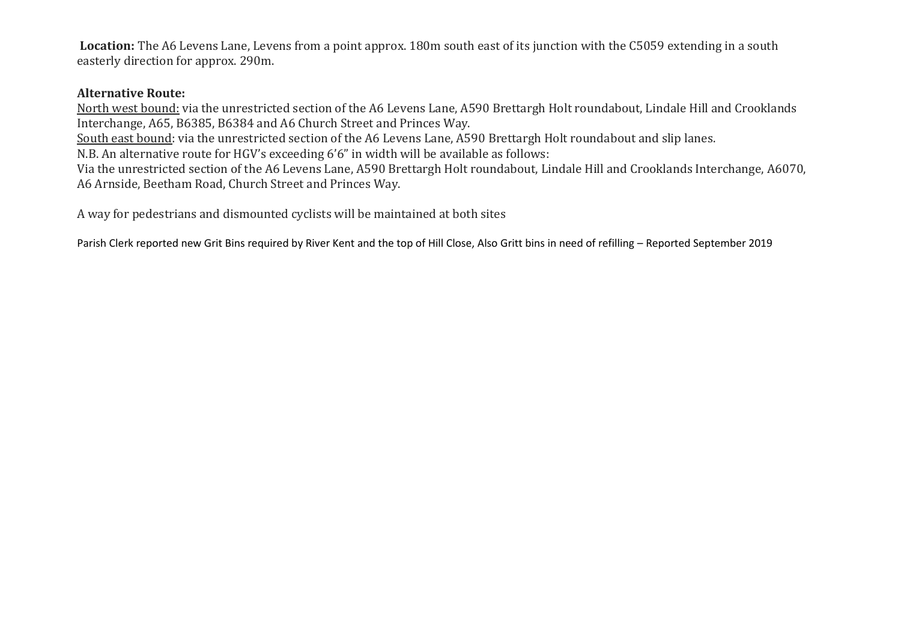**Location:** The A6 Levens Lane, Levens from a point approx. 180m south east of its junction with the C5059 extending in a south easterly direction for approx. 290m.

### **Alternative Route:**

North west bound: via the unrestricted section of the A6 Levens Lane, A590 Brettargh Holt roundabout, Lindale Hill and Crooklands Interchange, A65, B6385, B6384 and A6 Church Street and Princes Way.

South east bound: via the unrestricted section of the A6 Levens Lane, A590 Brettargh Holt roundabout and slip lanes.

N.B. An alternative route for HGV's exceeding 6'6" in width will be available as follows:

Via the unrestricted section of the A6 Levens Lane, A590 Brettargh Holt roundabout, Lindale Hill and Crooklands Interchange, A6070, A6 Arnside, Beetham Road, Church Street and Princes Way.

A way for pedestrians and dismounted cyclists will be maintained at both sites

Parish Clerk reported new Grit Bins required by River Kent and the top of Hill Close, Also Gritt bins in need of refilling – Reported September 2019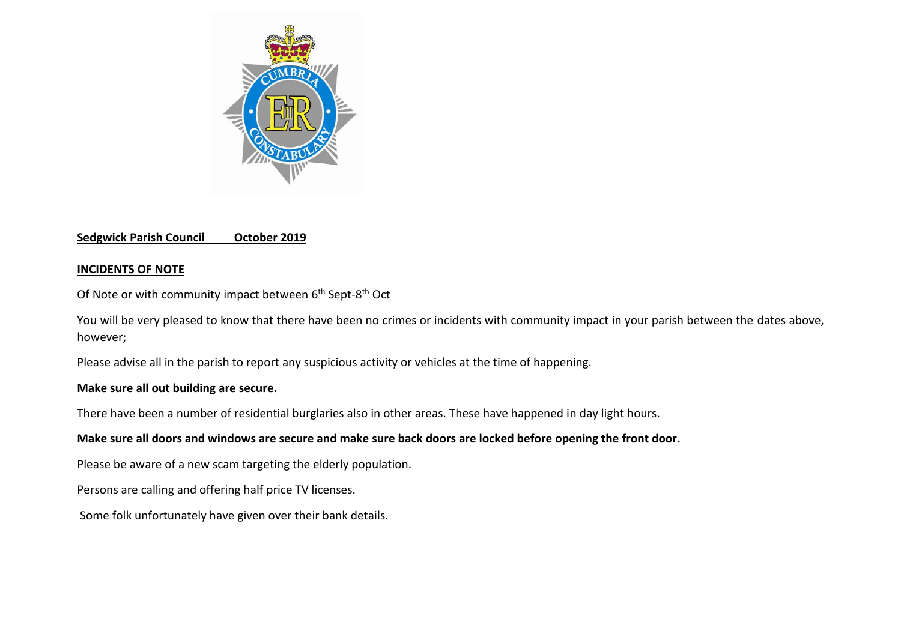

### **Sedgwick Parish Council October 2019**

### **INCIDENTS OF NOTE**

Of Note or with community impact between 6<sup>th</sup> Sept-8<sup>th</sup> Oct

You will be very pleased to know that there have been no crimes or incidents with community impact in your parish between the dates above, however;

Please advise all in the parish to report any suspicious activity or vehicles at the time of happening.

#### **Make sure all out building are secure.**

There have been a number of residential burglaries also in other areas. These have happened in day light hours.

## **Make sure all doors and windows are secure and make sure back doors are locked before opening the front door.**

Please be aware of a new scam targeting the elderly population.

Persons are calling and offering half price TV licenses.

Some folk unfortunately have given over their bank details.